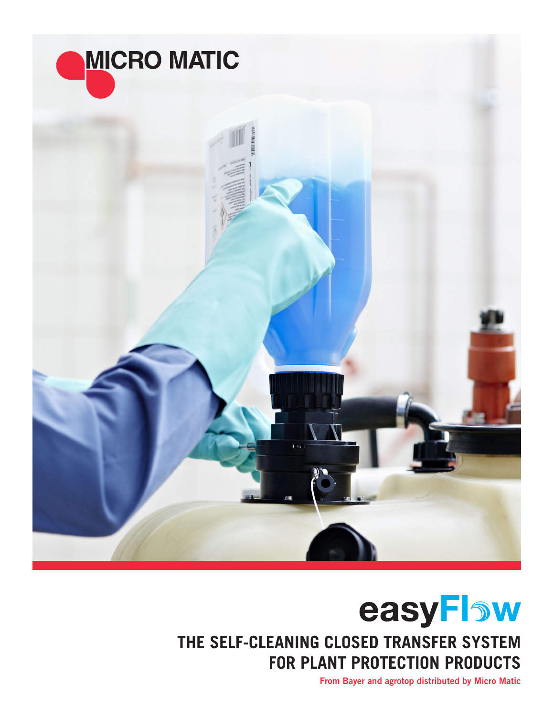

## easyFlow **THE SELF-CLEANING CLOSED TRANSFER SYSTEM FOR PLANT PROTECTION PRODUCTS**

From Bayer and agrotop distributed by Micro Matic